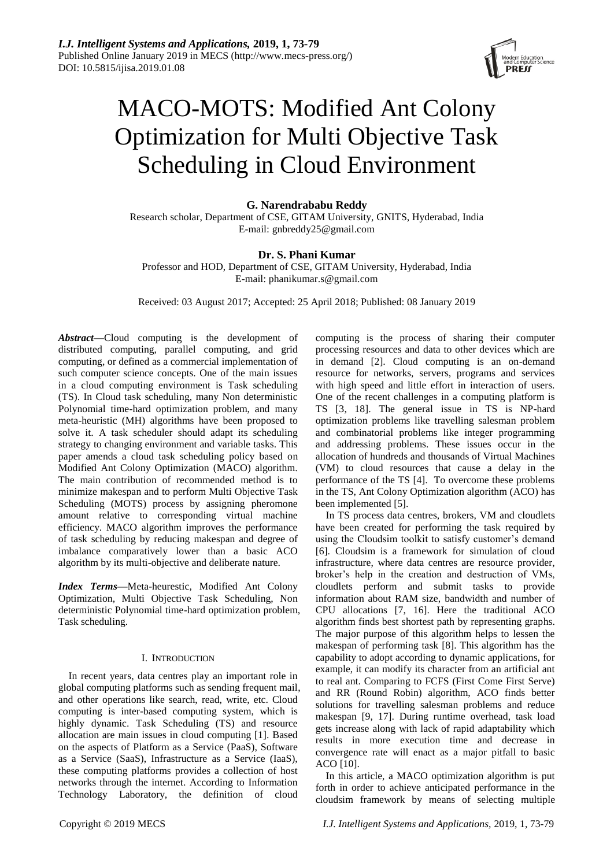

# MACO-MOTS: Modified Ant Colony Optimization for Multi Objective Task Scheduling in Cloud Environment

**G. Narendrababu Reddy**

Research scholar, Department of CSE, GITAM University, GNITS, Hyderabad, India E-mail: gnbreddy25@gmail.com

# **Dr. S. Phani Kumar**

Professor and HOD, Department of CSE, GITAM University, Hyderabad, India E-mail: phanikumar.s@gmail.com

Received: 03 August 2017; Accepted: 25 April 2018; Published: 08 January 2019

*Abstract***—**Cloud computing is the development of distributed computing, parallel computing, and grid computing, or defined as a commercial implementation of such computer science concepts. One of the main issues in a cloud computing environment is Task scheduling (TS). In Cloud task scheduling, many Non deterministic Polynomial time-hard optimization problem, and many meta-heuristic (MH) algorithms have been proposed to solve it. A task scheduler should adapt its scheduling strategy to changing environment and variable tasks. This paper amends a cloud task scheduling policy based on Modified Ant Colony Optimization (MACO) algorithm. The main contribution of recommended method is to minimize makespan and to perform Multi Objective Task Scheduling (MOTS) process by assigning pheromone amount relative to corresponding virtual machine efficiency. MACO algorithm improves the performance of task scheduling by reducing makespan and degree of imbalance comparatively lower than a basic ACO algorithm by its multi-objective and deliberate nature.

*Index Terms***—**Meta-heurestic, Modified Ant Colony Optimization, Multi Objective Task Scheduling, Non deterministic Polynomial time-hard optimization problem, Task scheduling.

# I. INTRODUCTION

In recent years, data centres play an important role in global computing platforms such as sending frequent mail, and other operations like search, read, write, etc. Cloud computing is inter-based computing system, which is highly dynamic. Task Scheduling (TS) and resource allocation are main issues in cloud computing [1]. Based on the aspects of Platform as a Service (PaaS), Software as a Service (SaaS), Infrastructure as a Service (IaaS), these computing platforms provides a collection of host networks through the internet. According to Information Technology Laboratory, the definition of cloud

computing is the process of sharing their computer processing resources and data to other devices which are in demand [2]. Cloud computing is an on-demand resource for networks, servers, programs and services with high speed and little effort in interaction of users. One of the recent challenges in a computing platform is TS [3, 18]. The general issue in TS is NP-hard optimization problems like travelling salesman problem and combinatorial problems like integer programming and addressing problems. These issues occur in the allocation of hundreds and thousands of Virtual Machines (VM) to cloud resources that cause a delay in the performance of the TS [4]. To overcome these problems in the TS, Ant Colony Optimization algorithm (ACO) has been implemented [5].

In TS process data centres, brokers, VM and cloudlets have been created for performing the task required by using the Cloudsim toolkit to satisfy customer's demand [6]. Cloudsim is a framework for simulation of cloud infrastructure, where data centres are resource provider, broker's help in the creation and destruction of VMs, cloudlets perform and submit tasks to provide information about RAM size, bandwidth and number of CPU allocations [7, 16]. Here the traditional ACO algorithm finds best shortest path by representing graphs. The major purpose of this algorithm helps to lessen the makespan of performing task [8]. This algorithm has the capability to adopt according to dynamic applications, for example, it can modify its character from an artificial ant to real ant. Comparing to FCFS (First Come First Serve) and RR (Round Robin) algorithm, ACO finds better solutions for travelling salesman problems and reduce makespan [9, 17]. During runtime overhead, task load gets increase along with lack of rapid adaptability which results in more execution time and decrease in convergence rate will enact as a major pitfall to basic ACO [10].

In this article, a MACO optimization algorithm is put forth in order to achieve anticipated performance in the cloudsim framework by means of selecting multiple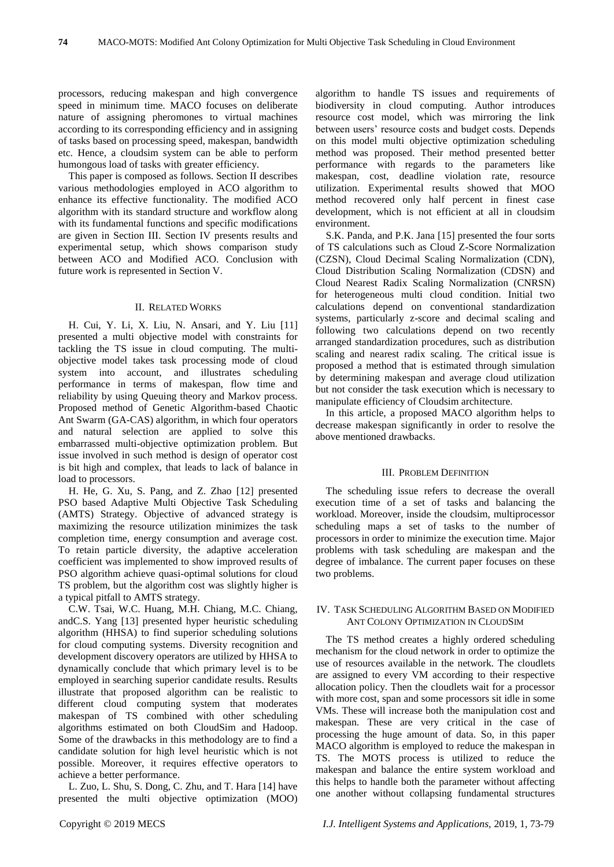processors, reducing makespan and high convergence speed in minimum time. MACO focuses on deliberate nature of assigning pheromones to virtual machines according to its corresponding efficiency and in assigning of tasks based on processing speed, makespan, bandwidth etc. Hence, a cloudsim system can be able to perform humongous load of tasks with greater efficiency.

This paper is composed as follows. Section II describes various methodologies employed in ACO algorithm to enhance its effective functionality. The modified ACO algorithm with its standard structure and workflow along with its fundamental functions and specific modifications are given in Section III. Section IV presents results and experimental setup, which shows comparison study between ACO and Modified ACO. Conclusion with future work is represented in Section V.

#### II. RELATED WORKS

H. Cui, Y. Li, X. Liu, N. Ansari, and Y. Liu [11] presented a multi objective model with constraints for tackling the TS issue in cloud computing. The multiobjective model takes task processing mode of cloud system into account, and illustrates scheduling performance in terms of makespan, flow time and reliability by using Queuing theory and Markov process. Proposed method of Genetic Algorithm-based Chaotic Ant Swarm (GA-CAS) algorithm, in which four operators and natural selection are applied to solve this embarrassed multi-objective optimization problem. But issue involved in such method is design of operator cost is bit high and complex, that leads to lack of balance in load to processors.

H. He, G. Xu, S. Pang, and Z. Zhao [12] presented PSO based Adaptive Multi Objective Task Scheduling (AMTS) Strategy. Objective of advanced strategy is maximizing the resource utilization minimizes the task completion time, energy consumption and average cost. To retain particle diversity, the adaptive acceleration coefficient was implemented to show improved results of PSO algorithm achieve quasi-optimal solutions for cloud TS problem, but the algorithm cost was slightly higher is a typical pitfall to AMTS strategy.

C.W. Tsai, W.C. Huang, M.H. Chiang, M.C. Chiang, andC.S. Yang [13] presented hyper heuristic scheduling algorithm (HHSA) to find superior scheduling solutions for cloud computing systems. Diversity recognition and development discovery operators are utilized by HHSA to dynamically conclude that which primary level is to be employed in searching superior candidate results. Results illustrate that proposed algorithm can be realistic to different cloud computing system that moderates makespan of TS combined with other scheduling algorithms estimated on both CloudSim and Hadoop. Some of the drawbacks in this methodology are to find a candidate solution for high level heuristic which is not possible. Moreover, it requires effective operators to achieve a better performance.

L. Zuo, L. Shu, S. Dong, C. Zhu, and T. Hara [14] have presented the multi objective optimization (MOO) algorithm to handle TS issues and requirements of biodiversity in cloud computing. Author introduces resource cost model, which was mirroring the link between users' resource costs and budget costs. Depends on this model multi objective optimization scheduling method was proposed. Their method presented better performance with regards to the parameters like makespan, cost, deadline violation rate, resource utilization. Experimental results showed that MOO method recovered only half percent in finest case development, which is not efficient at all in cloudsim environment.

S.K. Panda, and P.K. Jana [15] presented the four sorts of TS calculations such as Cloud Z-Score Normalization (CZSN), Cloud Decimal Scaling Normalization (CDN), Cloud Distribution Scaling Normalization (CDSN) and Cloud Nearest Radix Scaling Normalization (CNRSN) for heterogeneous multi cloud condition. Initial two calculations depend on conventional standardization systems, particularly z-score and decimal scaling and following two calculations depend on two recently arranged standardization procedures, such as distribution scaling and nearest radix scaling. The critical issue is proposed a method that is estimated through simulation by determining makespan and average cloud utilization but not consider the task execution which is necessary to manipulate efficiency of Cloudsim architecture.

In this article, a proposed MACO algorithm helps to decrease makespan significantly in order to resolve the above mentioned drawbacks.

#### III. PROBLEM DEFINITION

The scheduling issue refers to decrease the overall execution time of a set of tasks and balancing the workload. Moreover, inside the cloudsim, multiprocessor scheduling maps a set of tasks to the number of processors in order to minimize the execution time. Major problems with task scheduling are makespan and the degree of imbalance. The current paper focuses on these two problems.

# IV. TASK SCHEDULING ALGORITHM BASED ON MODIFIED ANT COLONY OPTIMIZATION IN CLOUDSIM

The TS method creates a highly ordered scheduling mechanism for the cloud network in order to optimize the use of resources available in the network. The cloudlets are assigned to every VM according to their respective allocation policy. Then the cloudlets wait for a processor with more cost, span and some processors sit idle in some VMs. These will increase both the manipulation cost and makespan. These are very critical in the case of processing the huge amount of data. So, in this paper MACO algorithm is employed to reduce the makespan in TS. The MOTS process is utilized to reduce the makespan and balance the entire system workload and this helps to handle both the parameter without affecting one another without collapsing fundamental structures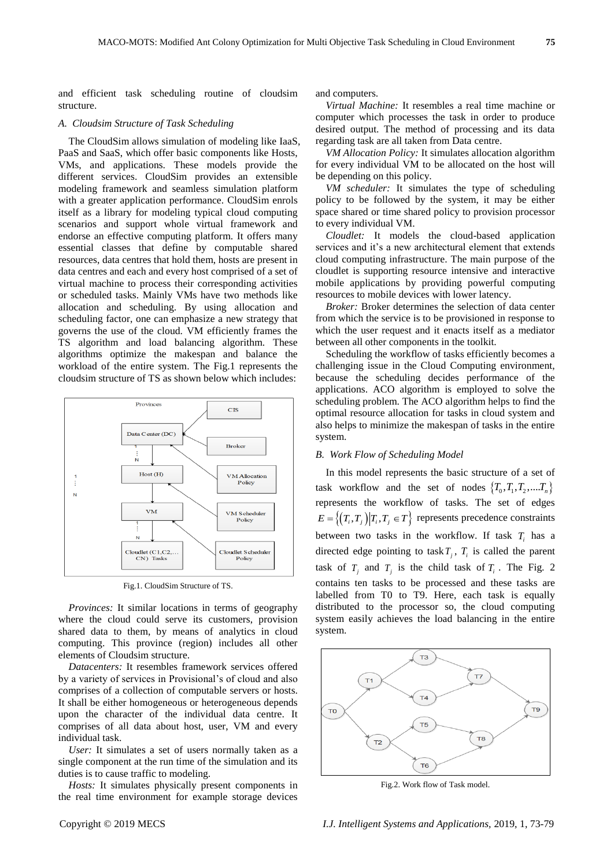and efficient task scheduling routine of cloudsim structure.

#### *A. Cloudsim Structure of Task Scheduling*

The CloudSim allows simulation of modeling like IaaS, PaaS and SaaS, which offer basic components like Hosts, VMs, and applications. These models provide the different services. CloudSim provides an extensible modeling framework and seamless simulation platform with a greater application performance. CloudSim enrols itself as a library for modeling typical cloud computing scenarios and support whole virtual framework and endorse an effective computing platform. It offers many essential classes that define by computable shared resources, data centres that hold them, hosts are present in data centres and each and every host comprised of a set of virtual machine to process their corresponding activities or scheduled tasks. Mainly VMs have two methods like allocation and scheduling. By using allocation and scheduling factor, one can emphasize a new strategy that governs the use of the cloud. VM efficiently frames the TS algorithm and load balancing algorithm. These algorithms optimize the makespan and balance the workload of the entire system. The Fig.1 represents the cloudsim structure of TS as shown below which includes:



Fig.1. CloudSim Structure of TS.

*Provinces:* It similar locations in terms of geography where the cloud could serve its customers, provision shared data to them, by means of analytics in cloud computing. This province (region) includes all other elements of Cloudsim structure.

*Datacenters:* It resembles framework services offered by a variety of services in Provisional's of cloud and also comprises of a collection of computable servers or hosts. It shall be either homogeneous or heterogeneous depends upon the character of the individual data centre. It comprises of all data about host, user, VM and every individual task.

*User:* It simulates a set of users normally taken as a single component at the run time of the simulation and its duties is to cause traffic to modeling.

*Hosts:* It simulates physically present components in the real time environment for example storage devices and computers.

*Virtual Machine:* It resembles a real time machine or computer which processes the task in order to produce desired output. The method of processing and its data regarding task are all taken from Data centre.

*VM Allocation Policy:* It simulates allocation algorithm for every individual VM to be allocated on the host will be depending on this policy.

*VM scheduler:* It simulates the type of scheduling policy to be followed by the system, it may be either space shared or time shared policy to provision processor to every individual VM.

*Cloudlet:* It models the cloud-based application services and it's a new architectural element that extends cloud computing infrastructure. The main purpose of the cloudlet is supporting resource intensive and interactive mobile applications by providing powerful computing resources to mobile devices with lower latency.

*Broker:* Broker determines the selection of data center from which the service is to be provisioned in response to which the user request and it enacts itself as a mediator between all other components in the toolkit.

Scheduling the workflow of tasks efficiently becomes a challenging issue in the Cloud Computing environment, because the scheduling decides performance of the applications. ACO algorithm is employed to solve the scheduling problem. The ACO algorithm helps to find the optimal resource allocation for tasks in cloud system and also helps to minimize the makespan of tasks in the entire system.

# *B. Work Flow of Scheduling Model*

In this model represents the basic structure of a set of task workflow and the set of nodes  $\{T_0, T_1, T_2, \ldots, T_n\}$ represents the workflow of tasks. The set of edges  $E = \left\{ (T_i, T_j) | T_i, T_j \in T \right\}$  represents precedence constraints between two tasks in the workflow. If task  $T_i$  has a directed edge pointing to task  $T_j$ ,  $T_i$  is called the parent task of  $T_i$  and  $T_j$  is the child task of  $T_i$ . The Fig. 2 contains ten tasks to be processed and these tasks are labelled from T0 to T9. Here, each task is equally distributed to the processor so, the cloud computing system easily achieves the load balancing in the entire system.



Fig.2. Work flow of Task model.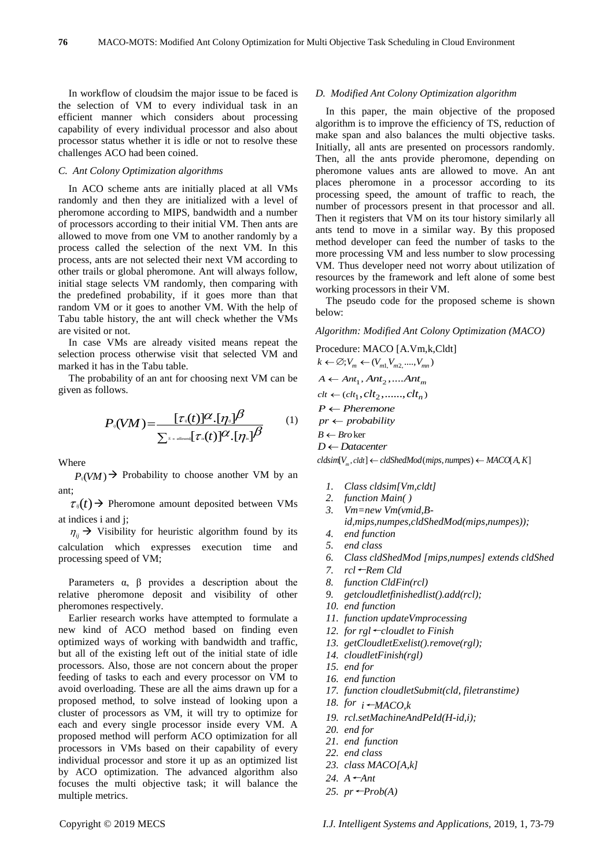In workflow of cloudsim the major issue to be faced is the selection of VM to every individual task in an efficient manner which considers about processing capability of every individual processor and also about processor status whether it is idle or not to resolve these challenges ACO had been coined.

# *C. Ant Colony Optimization algorithms*

In ACO scheme ants are initially placed at all VMs randomly and then they are initialized with a level of pheromone according to MIPS, bandwidth and a number of processors according to their initial VM. Then ants are allowed to move from one VM to another randomly by a process called the selection of the next VM. In this process, ants are not selected their next VM according to other trails or global pheromone. Ant will always follow, initial stage selects VM randomly, then comparing with the predefined probability, if it goes more than that random VM or it goes to another VM. With the help of Tabu table history, the ant will check whether the VMs are visited or not.

In case VMs are already visited means repeat the selection process otherwise visit that selected VM and marked it has in the Tabu table.

The probability of an ant for choosing next VM can be given as follows.

$$
P_{\nu}(VM) = \frac{[\tau_{\nu}(t)]^{\alpha} \cdot [\eta_{\nu}]}{\sum_{s \in allowed} [\tau_{\nu}(t)]^{\alpha} \cdot [\eta_{\nu}]} \frac{\beta}{\beta}
$$
 (1)

Where

 $P_{\nu}(VM)$   $\rightarrow$  Probability to choose another VM by an ant;

 $\tau_{ij}(t)$   $\rightarrow$  Pheromone amount deposited between VMs at indices i and j;

 $\eta_{ij}$   $\rightarrow$  Visibility for heuristic algorithm found by its calculation which expresses execution time and processing speed of VM;

Parameters  $\alpha$ ,  $\beta$  provides a description about the relative pheromone deposit and visibility of other pheromones respectively.

Earlier research works have attempted to formulate a new kind of ACO method based on finding even optimized ways of working with bandwidth and traffic, but all of the existing left out of the initial state of idle processors. Also, those are not concern about the proper feeding of tasks to each and every processor on VM to avoid overloading. These are all the aims drawn up for a proposed method, to solve instead of looking upon a cluster of processors as VM, it will try to optimize for each and every single processor inside every VM. A proposed method will perform ACO optimization for all processors in VMs based on their capability of every individual processor and store it up as an optimized list by ACO optimization. The advanced algorithm also focuses the multi objective task; it will balance the multiple metrics.

#### *D. Modified Ant Colony Optimization algorithm*

In this paper, the main objective of the proposed algorithm is to improve the efficiency of TS, reduction of make span and also balances the multi objective tasks. Initially, all ants are presented on processors randomly. Then, all the ants provide pheromone, depending on pheromone values ants are allowed to move. An ant places pheromone in a processor according to its processing speed, the amount of traffic to reach, the number of processors present in that processor and all. Then it registers that VM on its tour history similarly all ants tend to move in a similar way. By this proposed method developer can feed the number of tasks to the more processing VM and less number to slow processing VM. Thus developer need not worry about utilization of resources by the framework and left alone of some best working processors in their VM.

The pseudo code for the proposed scheme is shown below:

*Algorithm: Modified Ant Colony Optimization (MACO)*

Procedure: MACO [A.Vm,k,Cldt]  $k \leftarrow \emptyset; V_m \leftarrow (V_{m1, V_{m2,} \dots, V_{mn}})$  $A \leftarrow Ant_1, Ant_2, \ldots Ant_m$  $clt \leftarrow (clt_1, clt_2, \ldots, clt_n)$  $P \leftarrow$  *Pheremone*  $pr \leftarrow probability$  $B \leftarrow \text{Bro}$  ker  $D \leftarrow$ Datacenter

 $D \leftarrow$  Datacenter<br>cldsim $[V_m, \text{cldt}] \leftarrow \text{cldShedMod}(\text{mips}, \text{numpes}) \leftarrow \text{MACO}[A, K]$ 

- *1. Class cldsim[Vm,cldt]*
- *2. function Main( )*
- *3. Vm=new Vm(vmid,B-*
- *id,mips,numpes,cldShedMod(mips,numpes));*
- *4. end function*
- *5. end class*
- *6. Class cldShedMod [mips,numpes] extends cldShed*
- *7. rcl*←*Rem Cld*
- *8. function CldFin(rcl)*
- *9. getcloudletfinishedlist().add(rcl);*
- *10. end function*
- *11. function updateVmprocessing*
- *12. for rgl*←*cloudlet to Finish*
- *13. getCloudletExelist().remove(rgl);*
- *14. cloudletFinish(rgl)*
- *15. end for*
- *16. end function*
- *17. function cloudletSubmit(cld, filetranstime)*
- *18. for i*←*MACO,k*
- *19. rcl.setMachineAndPeId(H-id,i);*
- *20. end for*
- *21. end function*
- *22. end class*
- *23. class MACO[A,k]*
- *24. A*←*Ant*
- *25. pr*←*Prob(A)*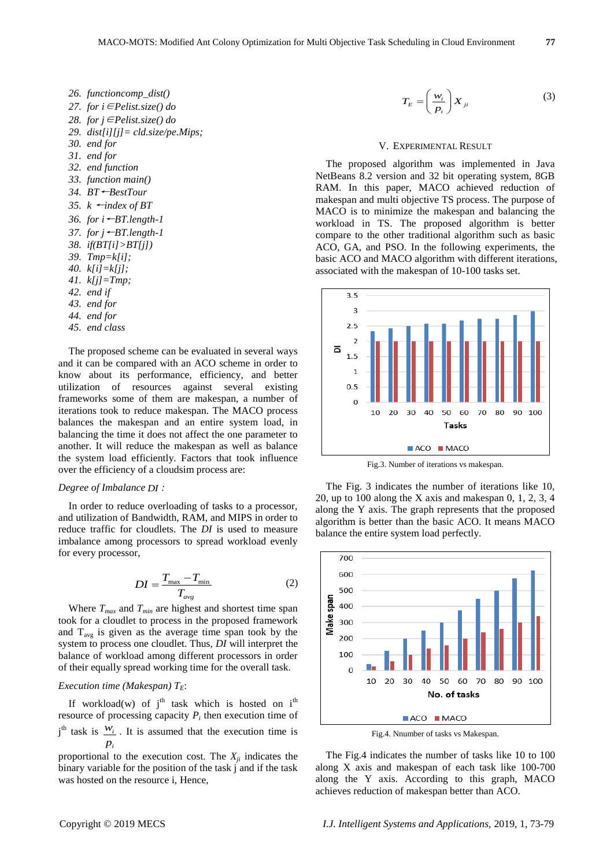*26. functioncomp\_dist() 27. for i*∈*Pelist.size() do 28. for j*∈*Pelist.size() do 29. dist[i][j]= cld.size/pe.Mips; 30. end for 31. end for 32. end function 33. function main() 34. BT*←*BestTour 35. k* ←*index of BT 36. for i*←*BT.length-1 37. for j*←*BT.length-1 38. if(BT[i]>BT[j]) 39. Tmp=k[i]; 40. k[i]=k[j]; 41. k[j]=Tmp; 42. end if 43. end for 44. end for 45. end class*

The proposed scheme can be evaluated in several ways and it can be compared with an ACO scheme in order to know about its performance, efficiency, and better utilization of resources against several existing frameworks some of them are makespan, a number of iterations took to reduce makespan. The MACO process balances the makespan and an entire system load, in balancing the time it does not affect the one parameter to another. It will reduce the makespan as well as balance the system load efficiently. Factors that took influence over the efficiency of a cloudsim process are:

#### *Degree of Imbalance DI :*

In order to reduce overloading of tasks to a processor, and utilization of Bandwidth, RAM, and MIPS in order to reduce traffic for cloudlets. The *DI* is used to measure imbalance among processors to spread workload evenly for every processor,

$$
DI = \frac{T_{\text{max}} - T_{\text{min}}}{T_{\text{avg}}}
$$
 (2)

Where *Tmax* and *Tmin* are highest and shortest time span took for a cloudlet to process in the proposed framework and  $T_{\text{avg}}$  is given as the average time span took by the system to process one cloudlet. Thus, *DI* will interpret the balance of workload among different processors in order of their equally spread working time for the overall task.

# *Execution time (Makespan)*  $T_F$ :

If workload(w) of  $j<sup>th</sup>$  task which is hosted on  $i<sup>th</sup>$ resource of processing capacity  $P_i$  then execution time of  $j<sup>th</sup>$  task is  $\frac{W_i}{g}$ . It is assumed that the execution time is *i p*

proportional to the execution cost. The  $X_{ii}$  indicates the binary variable for the position of the task j and if the task was hosted on the resource i, Hence,

$$
T_E = \left(\frac{w_i}{p_i}\right) X_{ji} \tag{3}
$$

#### V. EXPERIMENTAL RESULT

The proposed algorithm was implemented in Java NetBeans 8.2 version and 32 bit operating system, 8GB RAM. In this paper, MACO achieved reduction of makespan and multi objective TS process. The purpose of MACO is to minimize the makespan and balancing the workload in TS. The proposed algorithm is better compare to the other traditional algorithm such as basic ACO, GA, and PSO. In the following experiments, the basic ACO and MACO algorithm with different iterations, associated with the makespan of 10-100 tasks set.



Fig.3. Number of iterations vs makespan.

The Fig. 3 indicates the number of iterations like 10, 20, up to 100 along the X axis and makespan 0, 1, 2, 3, 4 along the Y axis. The graph represents that the proposed algorithm is better than the basic ACO. It means MACO balance the entire system load perfectly.



Fig.4. Nnumber of tasks vs Makespan.

The Fig.4 indicates the number of tasks like 10 to 100 along X axis and makespan of each task like 100-700 along the Y axis. According to this graph, MACO achieves reduction of makespan better than ACO.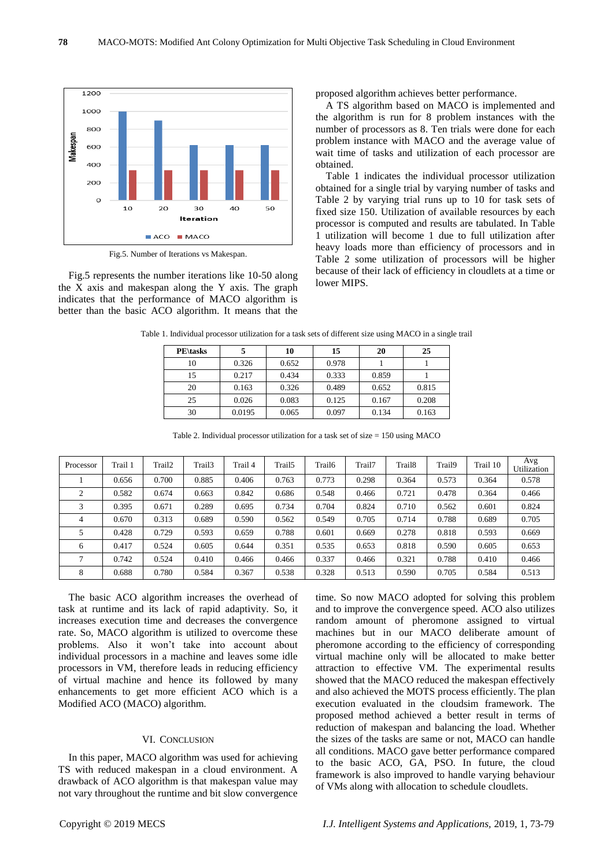

Fig.5. Number of Iterations vs Makespan.

Fig.5 represents the number iterations like 10-50 along the X axis and makespan along the Y axis. The graph indicates that the performance of MACO algorithm is better than the basic ACO algorithm. It means that the proposed algorithm achieves better performance.

A TS algorithm based on MACO is implemented and the algorithm is run for 8 problem instances with the number of processors as 8. Ten trials were done for each problem instance with MACO and the average value of wait time of tasks and utilization of each processor are obtained.

Table 1 indicates the individual processor utilization obtained for a single trial by varying number of tasks and Table 2 by varying trial runs up to 10 for task sets of fixed size 150. Utilization of available resources by each processor is computed and results are tabulated. In Table 1 utilization will become 1 due to full utilization after heavy loads more than efficiency of processors and in Table 2 some utilization of processors will be higher because of their lack of efficiency in cloudlets at a time or lower MIPS.

| <b>PE</b> \tasks |        | 10    | 15    | 20    | 25    |
|------------------|--------|-------|-------|-------|-------|
| 10               | 0.326  | 0.652 | 0.978 |       |       |
| 15               | 0.217  | 0.434 | 0.333 | 0.859 |       |
| 20               | 0.163  | 0.326 | 0.489 | 0.652 | 0.815 |
| 25               | 0.026  | 0.083 | 0.125 | 0.167 | 0.208 |
| 30               | 0.0195 | 0.065 | 0.097 | 0.134 | 0.163 |

Table 1. Individual processor utilization for a task sets of different size using MACO in a single trail

| Table 2. Individual processor utilization for a task set of size $= 150$ using MACO |         |        |        |         |                    |        |        |                    |        |          |                    |  |  |
|-------------------------------------------------------------------------------------|---------|--------|--------|---------|--------------------|--------|--------|--------------------|--------|----------|--------------------|--|--|
| Processor                                                                           | Trail 1 | Trail2 | Trail3 | Trail 4 | Trail <sub>5</sub> | Trail6 | Trail7 | Trail <sub>8</sub> | Trail9 | Trail 10 | Avg<br>Utilization |  |  |
|                                                                                     | 0.656   | 0.700  | 0.885  | 0.406   | 0.763              | 0.773  | 0.298  | 0.364              | 0.573  | 0.364    | 0.578              |  |  |
| 2                                                                                   | 0.582   | 0.674  | 0.663  | 0.842   | 0.686              | 0.548  | 0.466  | 0.721              | 0.478  | 0.364    | 0.466              |  |  |
| 3                                                                                   | 0.395   | 0.671  | 0.289  | 0.695   | 0.734              | 0.704  | 0.824  | 0.710              | 0.562  | 0.601    | 0.824              |  |  |
| $\overline{4}$                                                                      | 0.670   | 0.313  | 0.689  | 0.590   | 0.562              | 0.549  | 0.705  | 0.714              | 0.788  | 0.689    | 0.705              |  |  |
| 5                                                                                   | 0.428   | 0.729  | 0.593  | 0.659   | 0.788              | 0.601  | 0.669  | 0.278              | 0.818  | 0.593    | 0.669              |  |  |
| 6                                                                                   | 0.417   | 0.524  | 0.605  | 0.644   | 0.351              | 0.535  | 0.653  | 0.818              | 0.590  | 0.605    | 0.653              |  |  |
| ⇁                                                                                   | 0.742   | 0.524  | 0.410  | 0.466   | 0.466              | 0.337  | 0.466  | 0.321              | 0.788  | 0.410    | 0.466              |  |  |

8 0.688 0.780 0.584 0.367 0.538 0.328 0.513 0.590 0.705 0.584 0.513

The basic ACO algorithm increases the overhead of task at runtime and its lack of rapid adaptivity. So, it increases execution time and decreases the convergence rate. So, MACO algorithm is utilized to overcome these problems. Also it won't take into account about individual processors in a machine and leaves some idle processors in VM, therefore leads in reducing efficiency of virtual machine and hence its followed by many enhancements to get more efficient ACO which is a Modified ACO (MACO) algorithm.

# VI. CONCLUSION

In this paper, MACO algorithm was used for achieving TS with reduced makespan in a cloud environment. A drawback of ACO algorithm is that makespan value may not vary throughout the runtime and bit slow convergence time. So now MACO adopted for solving this problem and to improve the convergence speed. ACO also utilizes random amount of pheromone assigned to virtual machines but in our MACO deliberate amount of pheromone according to the efficiency of corresponding virtual machine only will be allocated to make better attraction to effective VM. The experimental results showed that the MACO reduced the makespan effectively and also achieved the MOTS process efficiently. The plan execution evaluated in the cloudsim framework. The proposed method achieved a better result in terms of reduction of makespan and balancing the load. Whether the sizes of the tasks are same or not, MACO can handle all conditions. MACO gave better performance compared to the basic ACO, GA, PSO. In future, the cloud framework is also improved to handle varying behaviour of VMs along with allocation to schedule cloudlets.